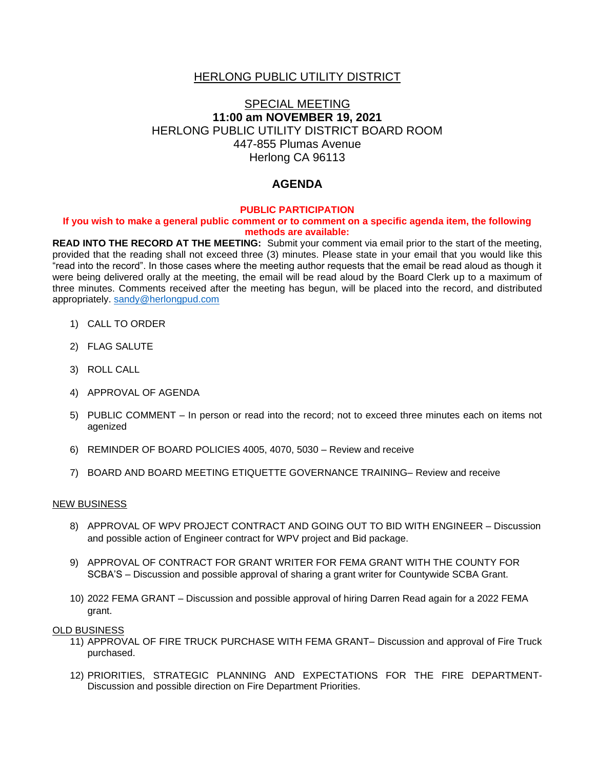### HERLONG PUBLIC UTILITY DISTRICT

# SPECIAL MEETING **11:00 am NOVEMBER 19, 2021** HERLONG PUBLIC UTILITY DISTRICT BOARD ROOM 447-855 Plumas Avenue Herlong CA 96113

# **AGENDA**

#### **PUBLIC PARTICIPATION**

#### **If you wish to make a general public comment or to comment on a specific agenda item, the following methods are available:**

**READ INTO THE RECORD AT THE MEETING:** Submit your comment via email prior to the start of the meeting, provided that the reading shall not exceed three (3) minutes. Please state in your email that you would like this "read into the record". In those cases where the meeting author requests that the email be read aloud as though it were being delivered orally at the meeting, the email will be read aloud by the Board Clerk up to a maximum of three minutes. Comments received after the meeting has begun, will be placed into the record, and distributed appropriately. [sandy@herlongpud.com](mailto:sandy@herlongpud.com)

- 1) CALL TO ORDER
- 2) FLAG SALUTE
- 3) ROLL CALL
- 4) APPROVAL OF AGENDA
- 5) PUBLIC COMMENT In person or read into the record; not to exceed three minutes each on items not agenized
- 6) REMINDER OF BOARD POLICIES 4005, 4070, 5030 Review and receive
- 7) BOARD AND BOARD MEETING ETIQUETTE GOVERNANCE TRAINING– Review and receive

#### NEW BUSINESS

- 8) APPROVAL OF WPV PROJECT CONTRACT AND GOING OUT TO BID WITH ENGINEER Discussion and possible action of Engineer contract for WPV project and Bid package.
- 9) APPROVAL OF CONTRACT FOR GRANT WRITER FOR FEMA GRANT WITH THE COUNTY FOR SCBA'S – Discussion and possible approval of sharing a grant writer for Countywide SCBA Grant.
- 10) 2022 FEMA GRANT Discussion and possible approval of hiring Darren Read again for a 2022 FEMA grant.

#### OLD BUSINESS

- 11) APPROVAL OF FIRE TRUCK PURCHASE WITH FEMA GRANT– Discussion and approval of Fire Truck purchased.
- 12) PRIORITIES, STRATEGIC PLANNING AND EXPECTATIONS FOR THE FIRE DEPARTMENT-Discussion and possible direction on Fire Department Priorities.